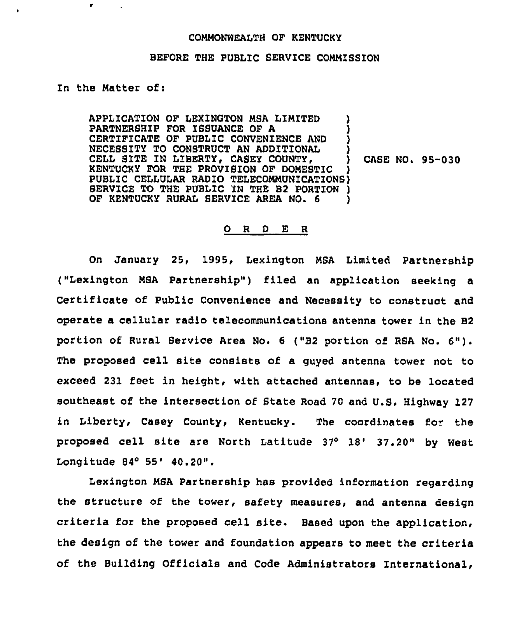## COMMONWEALTH OF KENTUCKY

## BEFORE THE PUBLIC SERVICE COMMISSION

## In the Matter of:

APPLICATION OF LEXINGTON MSA LIMITED ) PARTNERSHIP FOR ISSUANCE OF A ) CERTIFICATE OF PUBLIC CONVENIENCE AND ) NECESSITY TO CONSTRUCT AN ADDITIONAL CELL SITE IN LIBERTY, CASEY COUNTY,  $\qquad$  CASE NO. 95-030 KENTUCKY FOR THE PROVISION OF DOMESTIC ) PUBLIC CELLULAR RADIO TELECOMMUNICATIONS) SERVICE TO THE PUBLIC IN THE B2 PORTION ) OF KENTUCKY RURAL SERVICE AREA NO. 6

## 0 <sup>R</sup> <sup>D</sup> E <sup>R</sup>

On January 25, 1995, Lexington MSA Limited Partnership ("Lexington MSA Partnership") filed an application seeking a Certificate of Public Convenience and Necessity to construct and operate a cellular radio telecommunications antenna tower in the B2 portion of Rural Bervice Area No. <sup>6</sup> ("B2 portion of RSA No. 6"). The proposed cell site consists of a guyed antenna tower not to exceed 231 feet in height, with attached antennas, to be located southeast of the intersection of State Road 70 and U.S. Highway 127 in Liberty, Casey County, Kentucky. The coordinates for the proposed cell site are North Latitude 37° 18' 37.20" by West Longitude 84° 55' 40.20".

Lexington MSA Partnership has provided information regarding the structure of the tower, safety measures, and antenna design criteria for the proposed cell site. Based upon the application, the design of the tower and foundation appears to meet the criteria of the Building Officials and Code Administrators International,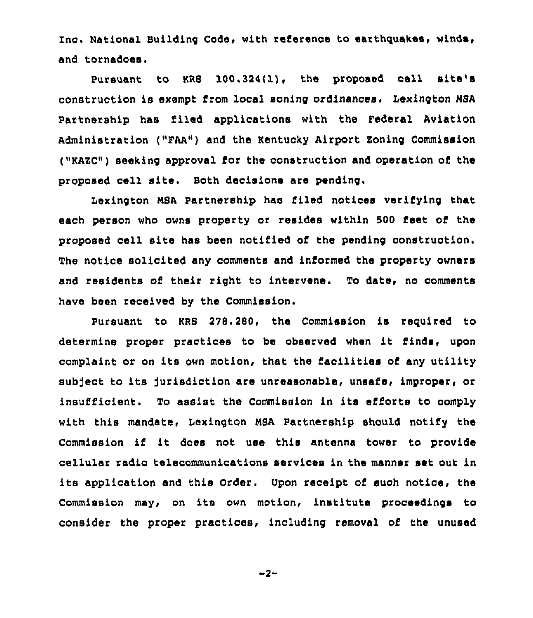Inc. National Building Code, with reference to earthquakes, winds, and tornadoes.

Pursuant to KRS 100.324(1), the proposed cell site's construction is exempt from local soning ordinances. Lexington NSA Partnership has filed applications with the Federal Aviation Administration ("FAA") and the Kentucky Airport Zoning Commission ("KAZC") seeking approval for the construotion and operation of the proposed cell site, Both decisions are pending.

Lexington NBA Partnership has filed notices verifying that each person who owns property or resides within 500 feet of the proposed cell site has been notified of the pending construction. The notice solicited any comments and informed the property owners and residents of their right to intervene. To date, no comments have been received by the Commission.

Pursuant to KRS 278.280, the Commission is required to determine proper practices to be observed when it finds, upon complaint or on its own motion, that the facilities of any utility subject to its jurisdiction are unreasonable, unsafe, improper, or insufficient. To assist the Commission in its efforts to comply with this mandate, Lexington NSA partnership should notify the Commission if it does not use this antenna tower to provide cellular radio telecommunications services in the manner set out in its application and this Order. Upon reoeipt of such notice, the Commission may, on its own motion, institute proceedings to consider the proper practices, including removal of the unused

 $-2-$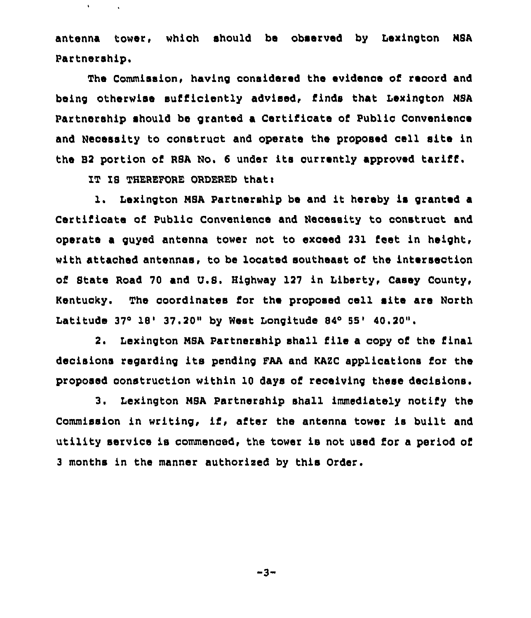antenna tower, which should be observed by Lexington NSA Partnership.

The Commission, having considered the evidence of record and being otherwise sufficiently advised, finds that Lexington NSA Partnership should be granted a Certificate of Public Convenience and Necessity to construct and operate the proposed cell site in the B2 portion of RSA No. <sup>6</sup> under its currently approved tariff.

IT IS THEREFORE ORDERED that:

 $\mathbf{v}$ 

1. Lexington MSA Partnership be and it hereby is granted a Certificate of Public Convenience and Necessity to construct and operate a guyed antenna tower not to exceed 231 feet in height, with attached antennas, to be located southeast of the intersection of State Road 70 and U.S. Highway 127 in Liberty, Casey County, KentucKy. The coordinates for the proposed cell site are North Latitude  $37^{\circ}$  18'  $37.20$ " by West Longitude 84° 55' 40.20".

2. Lexington N8A Partnership shall file a copy of the final decisions regarding its pending FAA and KAZC applications for the proposed construction within 10 days of receiving these decisions.

3. Lexington MSA Partnership shall immediately notify the Commission in writing, if, after the antenna tower is built and utility service is commenced, the tower is not used for a period of <sup>3</sup> months in the manner authorised by this Order.

 $-3-$